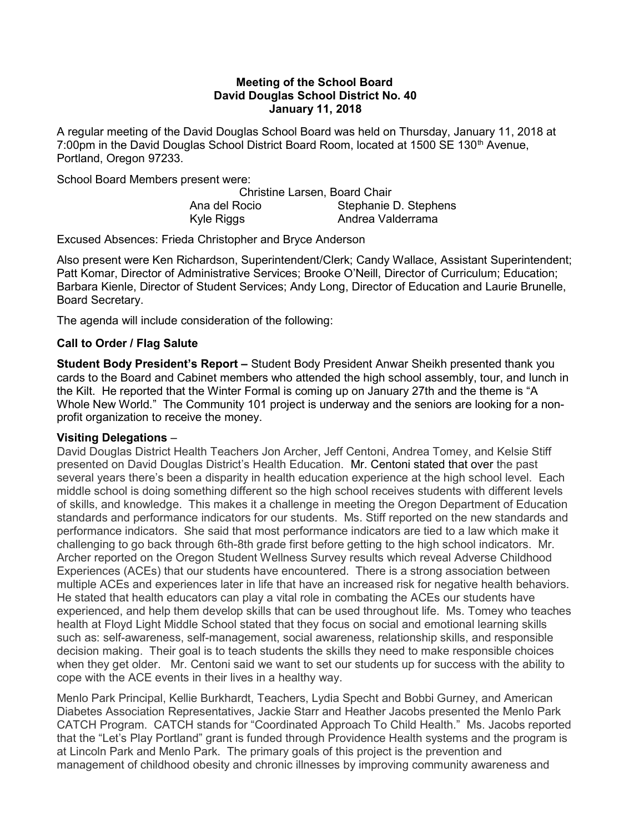#### Meeting of the School Board David Douglas School District No. 40 January 11, 2018

A regular meeting of the David Douglas School Board was held on Thursday, January 11, 2018 at 7:00pm in the David Douglas School District Board Room, located at 1500 SE 130<sup>th</sup> Avenue, Portland, Oregon 97233.

School Board Members present were:

Christine Larsen, Board Chair Ana del Rocio Stephanie D. Stephens Kyle Riggs **Andrea Valderrama** 

Excused Absences: Frieda Christopher and Bryce Anderson

Also present were Ken Richardson, Superintendent/Clerk; Candy Wallace, Assistant Superintendent; Patt Komar, Director of Administrative Services; Brooke O'Neill, Director of Curriculum; Education; Barbara Kienle, Director of Student Services; Andy Long, Director of Education and Laurie Brunelle, Board Secretary.

The agenda will include consideration of the following:

## Call to Order / Flag Salute

Student Body President's Report - Student Body President Anwar Sheikh presented thank you cards to the Board and Cabinet members who attended the high school assembly, tour, and lunch in the Kilt. He reported that the Winter Formal is coming up on January 27th and the theme is "A Whole New World." The Community 101 project is underway and the seniors are looking for a nonprofit organization to receive the money.

#### Visiting Delegations –

David Douglas District Health Teachers Jon Archer, Jeff Centoni, Andrea Tomey, and Kelsie Stiff presented on David Douglas District's Health Education. Mr. Centoni stated that over the past several years there's been a disparity in health education experience at the high school level. Each middle school is doing something different so the high school receives students with different levels of skills, and knowledge. This makes it a challenge in meeting the Oregon Department of Education standards and performance indicators for our students. Ms. Stiff reported on the new standards and performance indicators. She said that most performance indicators are tied to a law which make it challenging to go back through 6th-8th grade first before getting to the high school indicators. Mr. Archer reported on the Oregon Student Wellness Survey results which reveal Adverse Childhood Experiences (ACEs) that our students have encountered. There is a strong association between multiple ACEs and experiences later in life that have an increased risk for negative health behaviors. He stated that health educators can play a vital role in combating the ACEs our students have experienced, and help them develop skills that can be used throughout life. Ms. Tomey who teaches health at Floyd Light Middle School stated that they focus on social and emotional learning skills such as: self-awareness, self-management, social awareness, relationship skills, and responsible decision making. Their goal is to teach students the skills they need to make responsible choices when they get older. Mr. Centoni said we want to set our students up for success with the ability to cope with the ACE events in their lives in a healthy way.

Menlo Park Principal, Kellie Burkhardt, Teachers, Lydia Specht and Bobbi Gurney, and American Diabetes Association Representatives, Jackie Starr and Heather Jacobs presented the Menlo Park CATCH Program. CATCH stands for "Coordinated Approach To Child Health." Ms. Jacobs reported that the "Let's Play Portland" grant is funded through Providence Health systems and the program is at Lincoln Park and Menlo Park. The primary goals of this project is the prevention and management of childhood obesity and chronic illnesses by improving community awareness and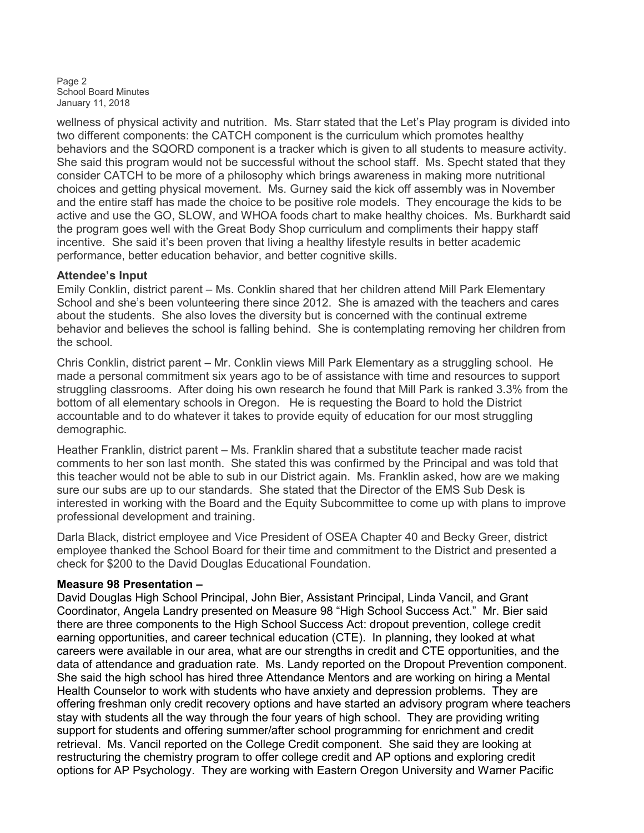Page 2 School Board Minutes January 11, 2018

wellness of physical activity and nutrition. Ms. Starr stated that the Let's Play program is divided into two different components: the CATCH component is the curriculum which promotes healthy behaviors and the SQORD component is a tracker which is given to all students to measure activity. She said this program would not be successful without the school staff. Ms. Specht stated that they consider CATCH to be more of a philosophy which brings awareness in making more nutritional choices and getting physical movement. Ms. Gurney said the kick off assembly was in November and the entire staff has made the choice to be positive role models. They encourage the kids to be active and use the GO, SLOW, and WHOA foods chart to make healthy choices. Ms. Burkhardt said the program goes well with the Great Body Shop curriculum and compliments their happy staff incentive. She said it's been proven that living a healthy lifestyle results in better academic performance, better education behavior, and better cognitive skills.

## Attendee's Input

Emily Conklin, district parent – Ms. Conklin shared that her children attend Mill Park Elementary School and she's been volunteering there since 2012. She is amazed with the teachers and cares about the students. She also loves the diversity but is concerned with the continual extreme behavior and believes the school is falling behind. She is contemplating removing her children from the school.

Chris Conklin, district parent – Mr. Conklin views Mill Park Elementary as a struggling school. He made a personal commitment six years ago to be of assistance with time and resources to support struggling classrooms. After doing his own research he found that Mill Park is ranked 3.3% from the bottom of all elementary schools in Oregon. He is requesting the Board to hold the District accountable and to do whatever it takes to provide equity of education for our most struggling demographic.

Heather Franklin, district parent – Ms. Franklin shared that a substitute teacher made racist comments to her son last month. She stated this was confirmed by the Principal and was told that this teacher would not be able to sub in our District again. Ms. Franklin asked, how are we making sure our subs are up to our standards. She stated that the Director of the EMS Sub Desk is interested in working with the Board and the Equity Subcommittee to come up with plans to improve professional development and training.

Darla Black, district employee and Vice President of OSEA Chapter 40 and Becky Greer, district employee thanked the School Board for their time and commitment to the District and presented a check for \$200 to the David Douglas Educational Foundation.

# Measure 98 Presentation –

David Douglas High School Principal, John Bier, Assistant Principal, Linda Vancil, and Grant Coordinator, Angela Landry presented on Measure 98 "High School Success Act." Mr. Bier said there are three components to the High School Success Act: dropout prevention, college credit earning opportunities, and career technical education (CTE). In planning, they looked at what careers were available in our area, what are our strengths in credit and CTE opportunities, and the data of attendance and graduation rate. Ms. Landy reported on the Dropout Prevention component. She said the high school has hired three Attendance Mentors and are working on hiring a Mental Health Counselor to work with students who have anxiety and depression problems. They are offering freshman only credit recovery options and have started an advisory program where teachers stay with students all the way through the four years of high school. They are providing writing support for students and offering summer/after school programming for enrichment and credit retrieval. Ms. Vancil reported on the College Credit component. She said they are looking at restructuring the chemistry program to offer college credit and AP options and exploring credit options for AP Psychology. They are working with Eastern Oregon University and Warner Pacific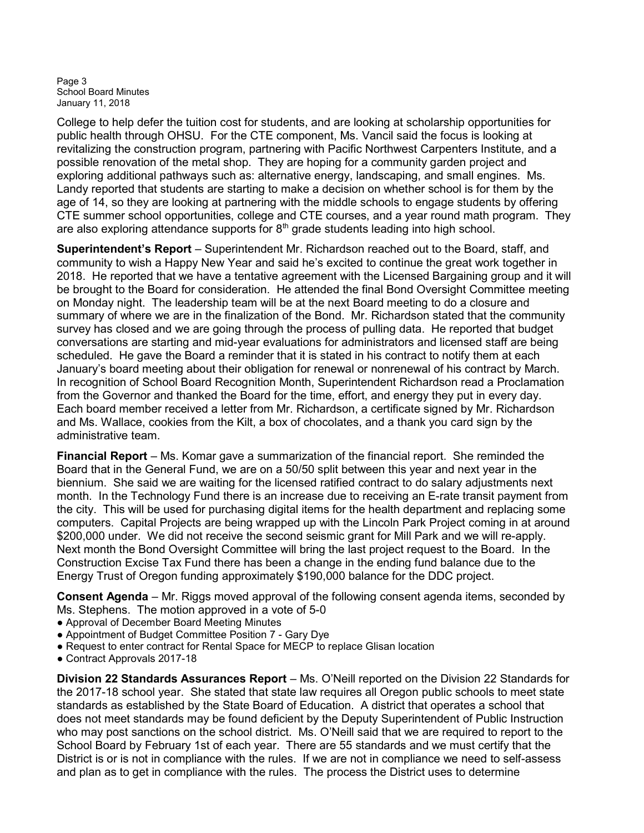Page 3 School Board Minutes January 11, 2018

College to help defer the tuition cost for students, and are looking at scholarship opportunities for public health through OHSU. For the CTE component, Ms. Vancil said the focus is looking at revitalizing the construction program, partnering with Pacific Northwest Carpenters Institute, and a possible renovation of the metal shop. They are hoping for a community garden project and exploring additional pathways such as: alternative energy, landscaping, and small engines. Ms. Landy reported that students are starting to make a decision on whether school is for them by the age of 14, so they are looking at partnering with the middle schools to engage students by offering CTE summer school opportunities, college and CTE courses, and a year round math program. They are also exploring attendance supports for  $8<sup>th</sup>$  grade students leading into high school.

Superintendent's Report – Superintendent Mr. Richardson reached out to the Board, staff, and community to wish a Happy New Year and said he's excited to continue the great work together in 2018. He reported that we have a tentative agreement with the Licensed Bargaining group and it will be brought to the Board for consideration. He attended the final Bond Oversight Committee meeting on Monday night. The leadership team will be at the next Board meeting to do a closure and summary of where we are in the finalization of the Bond. Mr. Richardson stated that the community survey has closed and we are going through the process of pulling data. He reported that budget conversations are starting and mid-year evaluations for administrators and licensed staff are being scheduled. He gave the Board a reminder that it is stated in his contract to notify them at each January's board meeting about their obligation for renewal or nonrenewal of his contract by March. In recognition of School Board Recognition Month, Superintendent Richardson read a Proclamation from the Governor and thanked the Board for the time, effort, and energy they put in every day. Each board member received a letter from Mr. Richardson, a certificate signed by Mr. Richardson and Ms. Wallace, cookies from the Kilt, a box of chocolates, and a thank you card sign by the administrative team.

Financial Report – Ms. Komar gave a summarization of the financial report. She reminded the Board that in the General Fund, we are on a 50/50 split between this year and next year in the biennium. She said we are waiting for the licensed ratified contract to do salary adjustments next month. In the Technology Fund there is an increase due to receiving an E-rate transit payment from the city. This will be used for purchasing digital items for the health department and replacing some computers. Capital Projects are being wrapped up with the Lincoln Park Project coming in at around \$200,000 under. We did not receive the second seismic grant for Mill Park and we will re-apply. Next month the Bond Oversight Committee will bring the last project request to the Board. In the Construction Excise Tax Fund there has been a change in the ending fund balance due to the Energy Trust of Oregon funding approximately \$190,000 balance for the DDC project.

Consent Agenda – Mr. Riggs moved approval of the following consent agenda items, seconded by Ms. Stephens. The motion approved in a vote of 5-0

- Approval of December Board Meeting Minutes
- Appointment of Budget Committee Position 7 Gary Dye
- Request to enter contract for Rental Space for MECP to replace Glisan location
- Contract Approvals 2017-18

Division 22 Standards Assurances Report – Ms. O'Neill reported on the Division 22 Standards for the 2017-18 school year. She stated that state law requires all Oregon public schools to meet state standards as established by the State Board of Education. A district that operates a school that does not meet standards may be found deficient by the Deputy Superintendent of Public Instruction who may post sanctions on the school district. Ms. O'Neill said that we are required to report to the School Board by February 1st of each year. There are 55 standards and we must certify that the District is or is not in compliance with the rules. If we are not in compliance we need to self-assess and plan as to get in compliance with the rules. The process the District uses to determine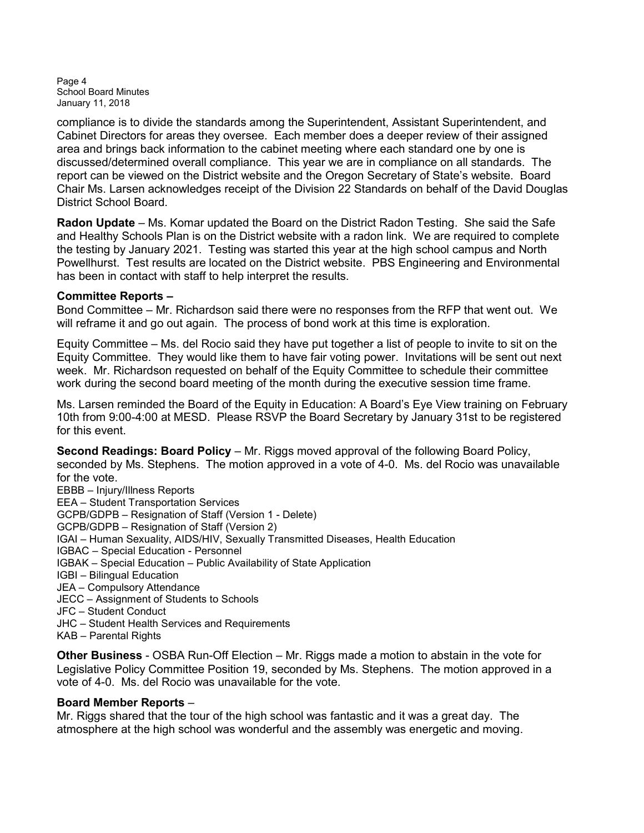Page 4 School Board Minutes January 11, 2018

compliance is to divide the standards among the Superintendent, Assistant Superintendent, and Cabinet Directors for areas they oversee. Each member does a deeper review of their assigned area and brings back information to the cabinet meeting where each standard one by one is discussed/determined overall compliance. This year we are in compliance on all standards. The report can be viewed on the District website and the Oregon Secretary of State's website. Board Chair Ms. Larsen acknowledges receipt of the Division 22 Standards on behalf of the David Douglas District School Board.

Radon Update – Ms. Komar updated the Board on the District Radon Testing. She said the Safe and Healthy Schools Plan is on the District website with a radon link. We are required to complete the testing by January 2021. Testing was started this year at the high school campus and North Powellhurst. Test results are located on the District website. PBS Engineering and Environmental has been in contact with staff to help interpret the results.

## Committee Reports –

Bond Committee – Mr. Richardson said there were no responses from the RFP that went out. We will reframe it and go out again. The process of bond work at this time is exploration.

Equity Committee – Ms. del Rocio said they have put together a list of people to invite to sit on the Equity Committee. They would like them to have fair voting power. Invitations will be sent out next week. Mr. Richardson requested on behalf of the Equity Committee to schedule their committee work during the second board meeting of the month during the executive session time frame.

Ms. Larsen reminded the Board of the Equity in Education: A Board's Eye View training on February 10th from 9:00-4:00 at MESD. Please RSVP the Board Secretary by January 31st to be registered for this event.

Second Readings: Board Policy – Mr. Riggs moved approval of the following Board Policy, seconded by Ms. Stephens. The motion approved in a vote of 4-0. Ms. del Rocio was unavailable for the vote.

EBBB – Injury/Illness Reports EEA – Student Transportation Services GCPB/GDPB – Resignation of Staff (Version 1 - Delete) GCPB/GDPB – Resignation of Staff (Version 2) IGAI – Human Sexuality, AIDS/HIV, Sexually Transmitted Diseases, Health Education IGBAC – Special Education - Personnel IGBAK – Special Education – Public Availability of State Application IGBI – Bilingual Education JEA – Compulsory Attendance JECC – Assignment of Students to Schools JFC – Student Conduct JHC – Student Health Services and Requirements KAB – Parental Rights

Other Business - OSBA Run-Off Election – Mr. Riggs made a motion to abstain in the vote for Legislative Policy Committee Position 19, seconded by Ms. Stephens. The motion approved in a vote of 4-0. Ms. del Rocio was unavailable for the vote. Ī

#### Board Member Reports –

Mr. Riggs shared that the tour of the high school was fantastic and it was a great day. The atmosphere at the high school was wonderful and the assembly was energetic and moving.